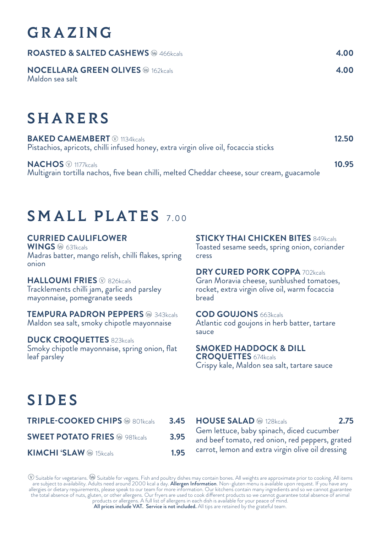# GRAZING

| <b>ROASTED &amp; SALTED CASHEWS</b> @ 466kcals                         | 4.00            |
|------------------------------------------------------------------------|-----------------|
| <b>NOCELLARA GREEN OLIVES</b> <sup>®</sup> 162kcals<br>Maldon sea salt | 4.00            |
| <b>SHARERS</b>                                                         |                 |
| <b>BARES GAMENDEDE CO.</b>                                             | $\sim$ - $\sim$ |

**BAKED CAMEMBERT** 1134kcals **12.50** Pistachios, apricots, chilli infused honey, extra virgin olive oil, focaccia sticks

**NACHOS** 1177kcals **10.95** Multigrain tortilla nachos, five bean chilli, melted Cheddar cheese, sour cream, guacamole

## SMALL PLATES 7.00

### **CURRIED CAULIFLOWER**

**WINGS** 631kcals Madras batter, mango relish, chilli flakes, spring onion

### **HALLOUMI FRIES**  $\circledcirc$  826kcals

Tracklements chilli jam, garlic and parsley mayonnaise, pomegranate seeds

**TEMPURA PADRON PEPPERS ® 343kcals** Maldon sea salt, smoky chipotle mayonnaise

#### **DUCK CROQUETTES** 823kcals

Smoky chipotle mayonnaise, spring onion, flat leaf parsley

**STICKY THAI CHICKEN BITES** 849kcals Toasted sesame seeds, spring onion, coriander cress

#### **DRY CURED PORK COPPA 702kcals**

Gran Moravia cheese, sunblushed tomatoes, rocket, extra virgin olive oil, warm focaccia bread

#### **COD GOUJONS** 663kcals

Atlantic cod goujons in herb batter, tartare sauce

**SMOKED HADDOCK & DILL CROQUETTES** 674kcals Crispy kale, Maldon sea salt, tartare sauce

# SIDES

| <b>TRIPLE-COOKED CHIPS ® 801kcals</b>           | 3.45 |
|-------------------------------------------------|------|
| <b>SWEET POTATO FRIES</b> <sup>®</sup> 981kcals | 3.95 |
| <b>KIMCHI 'SLAW</b> @ 15kcals                   | 1.95 |

**HOUSE SALAD**  $\circledast$  128kcals **2.75** Gem lettuce, baby spinach, diced cucumber and beef tomato, red onion, red peppers, grated carrot, lemon and extra virgin olive oil dressing

 $\mathbb W$  Suitable for vegetarians.  $\mathbb W$  Suitable for vegans. Fish and poultry dishes may contain bones. All weights are approximate prior to cooking. All items<br>are subject to availability. Adults need around 2000 kcal a d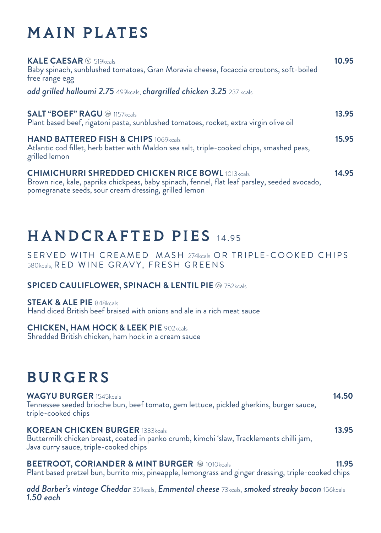# MAIN PLATES

| KALE CAESAR <sup>®</sup> 519kcals<br>Baby spinach, sunblushed tomatoes, Gran Moravia cheese, focaccia croutons, soft-boiled<br>free range egg                                                                     | 10.95 |
|-------------------------------------------------------------------------------------------------------------------------------------------------------------------------------------------------------------------|-------|
| add grilled halloumi 2.75 499kcals, chargrilled chicken 3.25 237 kcals                                                                                                                                            |       |
| <b>SALT "BOEF" RAGU @ 1157kcals</b><br>Plant based beef, rigatoni pasta, sunblushed tomatoes, rocket, extra virgin olive oil                                                                                      | 13.95 |
| <b>HAND BATTERED FISH &amp; CHIPS 1069kcals</b><br>Atlantic cod fillet, herb batter with Maldon sea salt, triple-cooked chips, smashed peas,<br>grilled lemon                                                     | 15.95 |
| <b>CHIMICHURRI SHREDDED CHICKEN RICE BOWL 1013kcals</b><br>Brown rice, kale, paprika chickpeas, baby spinach, fennel, flat leaf parsley, seeded avocado,<br>pomegranate seeds, sour cream dressing, grilled lemon | 14.95 |

## HANDCRAFTED PIES 14.95

SERVED WITH CREAMED MASH 274kcals OR TRIPLE-COOKED CHIPS 580kcals, RED WINE GRAVY, FRESH GREENS

### **SPICED CAULIFLOWER, SPINACH & LENTIL PIE @ 752kcals**

**STEAK & ALE PIE** 848kcals Hand diced British beef braised with onions and ale in a rich meat sauce

### **CHICKEN, HAM HOCK & LEEK PIE** 902kcals

Shredded British chicken, ham hock in a cream sauce

## **BURGERS**

| Java curry sauce, triple-cooked chips<br><b>BEETROOT, CORIANDER &amp; MINT BURGER @ 1010kcals</b>                                               | 11.95 |
|-------------------------------------------------------------------------------------------------------------------------------------------------|-------|
| <b>KOREAN CHICKEN BURGER 1333kcals</b><br>Buttermilk chicken breast, coated in panko crumb, kimchi 'slaw, Tracklements chilli jam,              | 13.95 |
| <b>WAGYU BURGER 1545kcals</b><br>Tennessee seeded brioche bun, beef tomato, gem lettuce, pickled gherkins, burger sauce,<br>triple-cooked chips | 14.50 |

Plant based pretzel bun, burrito mix, pineapple, lemongrass and ginger dressing, triple-cooked chips

*add Barber's vintage Cheddar* 351kcals, *Emmental cheese* 73kcals, *smoked streaky bacon* 156kcals *1.50 each*